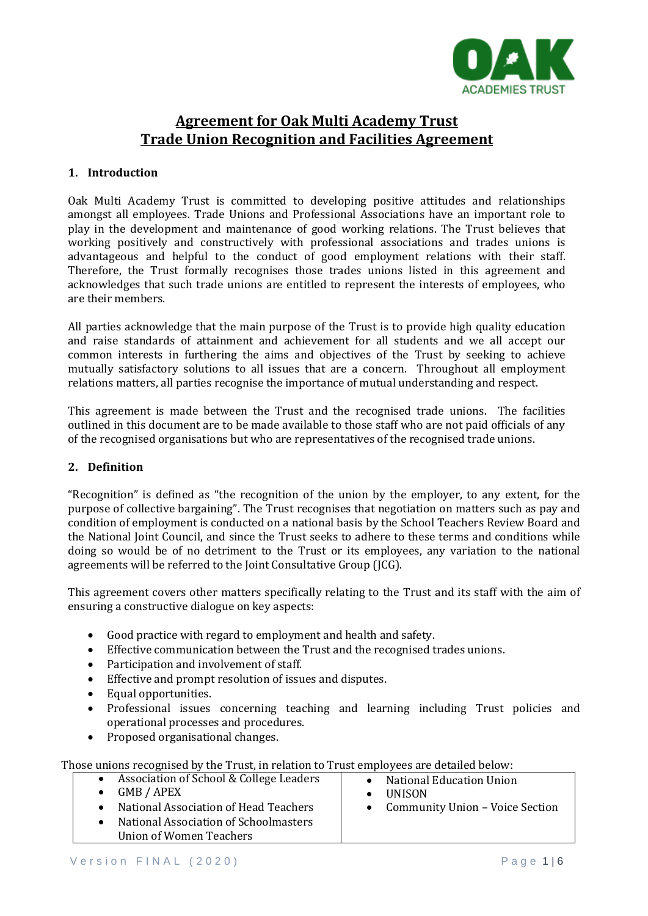

# **Agreement for Oak Multi Academy Trust Trade Union Recognition and Facilities Agreement**

# **1. Introduction**

Oak Multi Academy Trust is committed to developing positive attitudes and relationships amongst all employees. Trade Unions and Professional Associations have an important role to play in the development and maintenance of good working relations. The Trust believes that working positively and constructively with professional associations and trades unions is advantageous and helpful to the conduct of good employment relations with their staff. Therefore, the Trust formally recognises those trades unions listed in this agreement and acknowledges that such trade unions are entitled to represent the interests of employees, who are their members.

All parties acknowledge that the main purpose of the Trust is to provide high quality education and raise standards of attainment and achievement for all students and we all accept our common interests in furthering the aims and objectives of the Trust by seeking to achieve mutually satisfactory solutions to all issues that are a concern. Throughout all employment relations matters, all parties recognise the importance of mutual understanding and respect.

This agreement is made between the Trust and the recognised trade unions. The facilities outlined in this document are to be made available to those staff who are not paid officials of any of the recognised organisations but who are representatives of the recognised trade unions.

# **2. Definition**

"Recognition" is defined as "the recognition of the union by the employer, to any extent, for the purpose of collective bargaining". The Trust recognises that negotiation on matters such as pay and condition of employment is conducted on a national basis by the School Teachers Review Board and the National Joint Council, and since the Trust seeks to adhere to these terms and conditions while doing so would be of no detriment to the Trust or its employees, any variation to the national agreements will be referred to the Joint Consultative Group (JCG).

This agreement covers other matters specifically relating to the Trust and its staff with the aim of ensuring a constructive dialogue on key aspects:

- Good practice with regard to employment and health and safety.
- Effective communication between the Trust and the recognised trades unions.
- Participation and involvement of staff.
- Effective and prompt resolution of issues and disputes.
- Equal opportunities.
- Professional issues concerning teaching and learning including Trust policies and operational processes and procedures.
- Proposed organisational changes.

Those unions recognised by the Trust, in relation to Trust employees are detailed below:

| $\bullet$ | Association of School & College Leaders | • National Education Union        |
|-----------|-----------------------------------------|-----------------------------------|
|           | $\bullet$ GMB / APEX                    | <b>UNISON</b>                     |
| $\bullet$ | National Association of Head Teachers   | • Community Union – Voice Section |
|           | National Association of Schoolmasters   |                                   |
|           | Union of Women Teachers                 |                                   |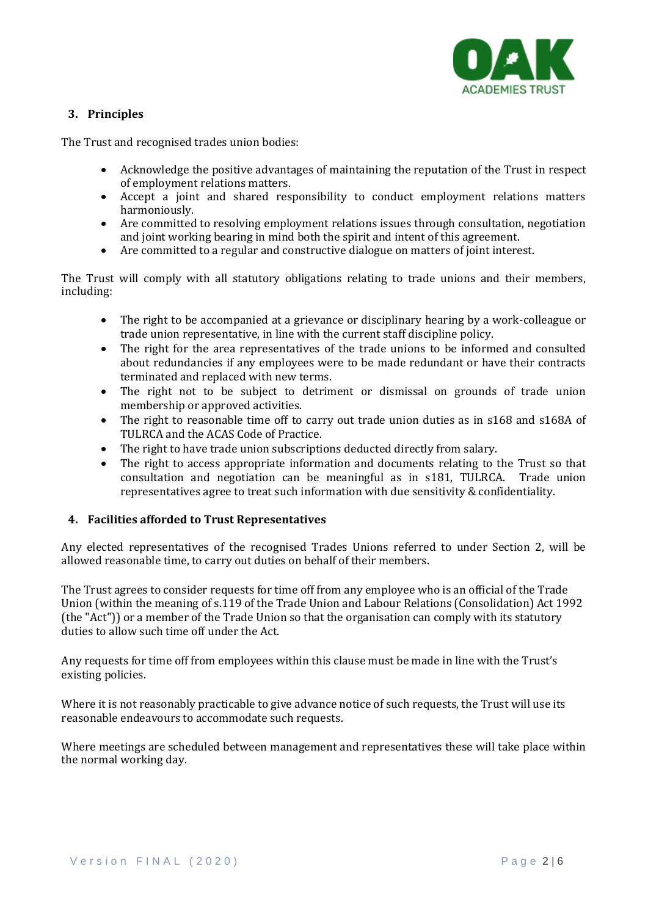

# **3. Principles**

The Trust and recognised trades union bodies:

- Acknowledge the positive advantages of maintaining the reputation of the Trust in respect of employment relations matters.
- Accept a joint and shared responsibility to conduct employment relations matters harmoniously.
- Are committed to resolving employment relations issues through consultation, negotiation and joint working bearing in mind both the spirit and intent of this agreement.
- Are committed to a regular and constructive dialogue on matters of joint interest.

The Trust will comply with all statutory obligations relating to trade unions and their members, including:

- The right to be accompanied at a grievance or disciplinary hearing by a work-colleague or trade union representative, in line with the current staff discipline policy.
- The right for the area representatives of the trade unions to be informed and consulted about redundancies if any employees were to be made redundant or have their contracts terminated and replaced with new terms.
- The right not to be subject to detriment or dismissal on grounds of trade union membership or approved activities.
- The right to reasonable time off to carry out trade union duties as in s168 and s168A of TULRCA and the ACAS Code of Practice.
- The right to have trade union subscriptions deducted directly from salary.
- The right to access appropriate information and documents relating to the Trust so that consultation and negotiation can be meaningful as in s181, TULRCA. Trade union representatives agree to treat such information with due sensitivity & confidentiality.

## **4. Facilities afforded to Trust Representatives**

Any elected representatives of the recognised Trades Unions referred to under Section 2, will be allowed reasonable time, to carry out duties on behalf of their members.

The Trust agrees to consider requests for time off from any employee who is an official of the Trade Union (within the meaning of s.119 of the Trade Union and Labour Relations (Consolidation) Act 1992 (the "Act")) or a member of the Trade Union so that the organisation can comply with its statutory duties to allow such time off under the Act.

Any requests for time off from employees within this clause must be made in line with the Trust's existing policies.

Where it is not reasonably practicable to give advance notice of such requests, the Trust will use its reasonable endeavours to accommodate such requests.

Where meetings are scheduled between management and representatives these will take place within the normal working day.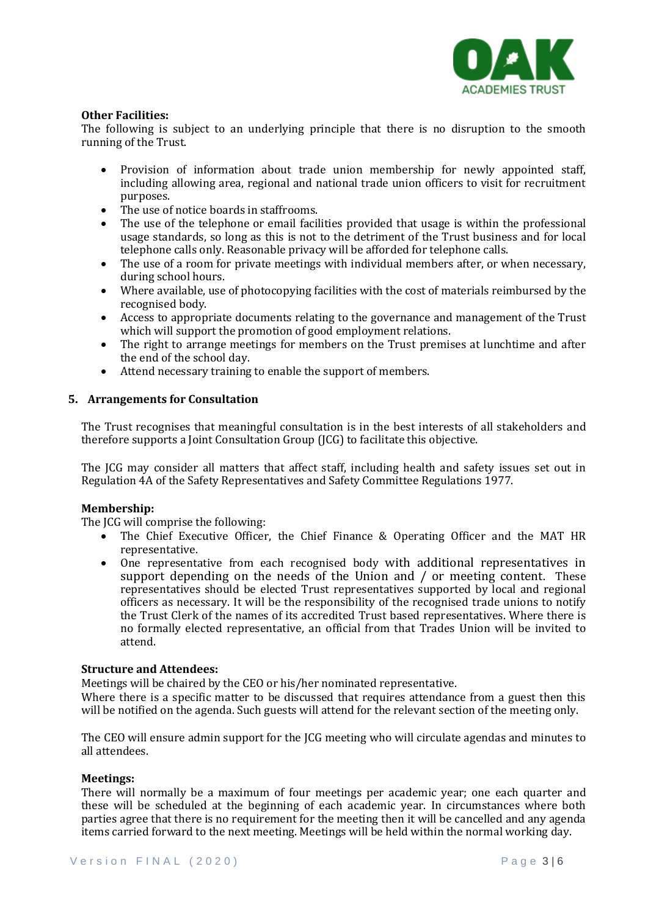

### **Other Facilities:**

The following is subject to an underlying principle that there is no disruption to the smooth running of the Trust.

- Provision of information about trade union membership for newly appointed staff, including allowing area, regional and national trade union officers to visit for recruitment purposes.
- The use of notice boards in staffrooms.
- The use of the telephone or email facilities provided that usage is within the professional usage standards, so long as this is not to the detriment of the Trust business and for local telephone calls only. Reasonable privacy will be afforded for telephone calls.
- The use of a room for private meetings with individual members after, or when necessary, during school hours.
- Where available, use of photocopying facilities with the cost of materials reimbursed by the recognised body.
- Access to appropriate documents relating to the governance and management of the Trust which will support the promotion of good employment relations.
- The right to arrange meetings for members on the Trust premises at lunchtime and after the end of the school day.
- Attend necessary training to enable the support of members.

## **5. Arrangements for Consultation**

The Trust recognises that meaningful consultation is in the best interests of all stakeholders and therefore supports a Joint Consultation Group (JCG) to facilitate this objective.

The JCG may consider all matters that affect staff, including health and safety issues set out in Regulation 4A of the Safety Representatives and Safety Committee Regulations 1977.

## **Membership:**

The JCG will comprise the following:

- The Chief Executive Officer, the Chief Finance & Operating Officer and the MAT HR representative.
- One representative from each recognised body with additional representatives in support depending on the needs of the Union and / or meeting content. These representatives should be elected Trust representatives supported by local and regional officers as necessary. It will be the responsibility of the recognised trade unions to notify the Trust Clerk of the names of its accredited Trust based representatives. Where there is no formally elected representative, an official from that Trades Union will be invited to attend.

#### **Structure and Attendees:**

Meetings will be chaired by the CEO or his/her nominated representative.

Where there is a specific matter to be discussed that requires attendance from a guest then this will be notified on the agenda. Such guests will attend for the relevant section of the meeting only.

The CEO will ensure admin support for the JCG meeting who will circulate agendas and minutes to all attendees.

#### **Meetings:**

There will normally be a maximum of four meetings per academic year; one each quarter and these will be scheduled at the beginning of each academic year. In circumstances where both parties agree that there is no requirement for the meeting then it will be cancelled and any agenda items carried forward to the next meeting. Meetings will be held within the normal working day.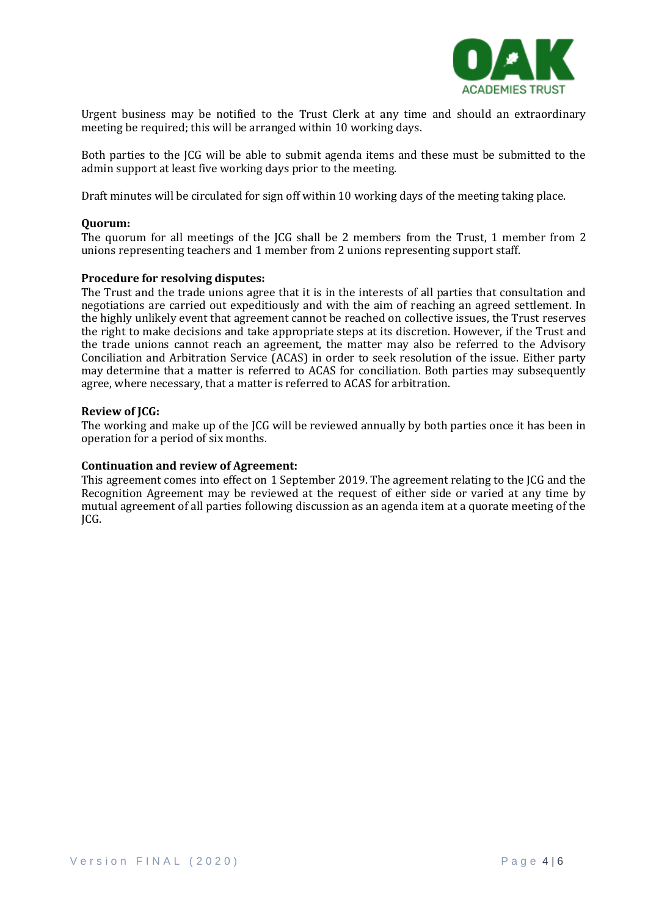

Urgent business may be notified to the Trust Clerk at any time and should an extraordinary meeting be required; this will be arranged within 10 working days.

Both parties to the JCG will be able to submit agenda items and these must be submitted to the admin support at least five working days prior to the meeting.

Draft minutes will be circulated for sign off within 10 working days of the meeting taking place.

#### **Quorum:**

The quorum for all meetings of the JCG shall be 2 members from the Trust, 1 member from 2 unions representing teachers and 1 member from 2 unions representing support staff.

## **Procedure for resolving disputes:**

The Trust and the trade unions agree that it is in the interests of all parties that consultation and negotiations are carried out expeditiously and with the aim of reaching an agreed settlement. In the highly unlikely event that agreement cannot be reached on collective issues, the Trust reserves the right to make decisions and take appropriate steps at its discretion. However, if the Trust and the trade unions cannot reach an agreement, the matter may also be referred to the Advisory Conciliation and Arbitration Service (ACAS) in order to seek resolution of the issue. Either party may determine that a matter is referred to ACAS for conciliation. Both parties may subsequently agree, where necessary, that a matter is referred to ACAS for arbitration.

#### **Review of JCG:**

The working and make up of the JCG will be reviewed annually by both parties once it has been in operation for a period of six months.

## **Continuation and review of Agreement:**

This agreement comes into effect on 1 September 2019. The agreement relating to the JCG and the Recognition Agreement may be reviewed at the request of either side or varied at any time by mutual agreement of all parties following discussion as an agenda item at a quorate meeting of the JCG.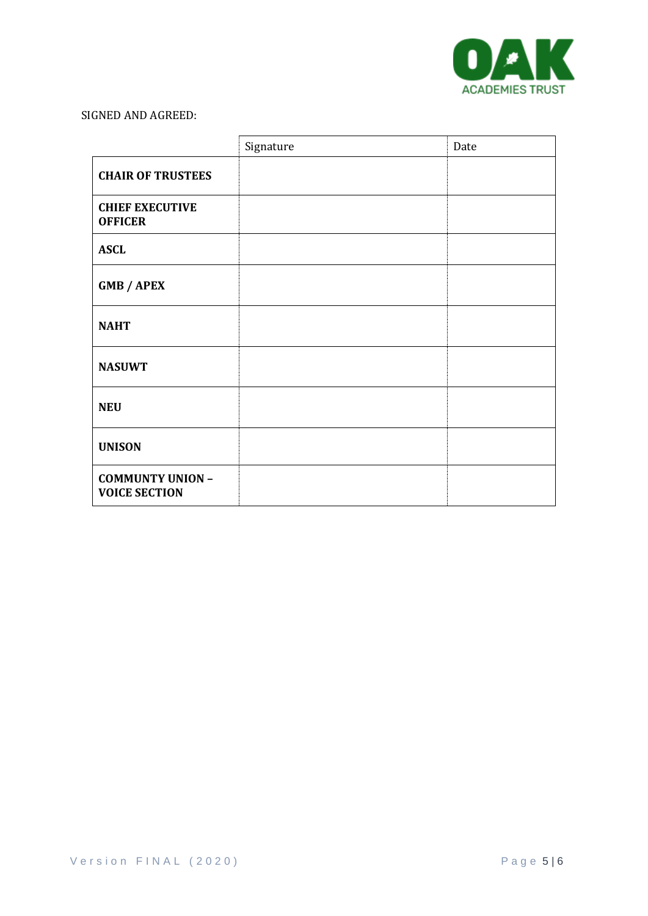

# SIGNED AND AGREED:

|                                                 | Signature | Date |
|-------------------------------------------------|-----------|------|
| <b>CHAIR OF TRUSTEES</b>                        |           |      |
| <b>CHIEF EXECUTIVE</b><br><b>OFFICER</b>        |           |      |
| <b>ASCL</b>                                     |           |      |
| <b>GMB / APEX</b>                               |           |      |
| <b>NAHT</b>                                     |           |      |
| <b>NASUWT</b>                                   |           |      |
| <b>NEU</b>                                      |           |      |
| <b>UNISON</b>                                   |           |      |
| <b>COMMUNTY UNION -</b><br><b>VOICE SECTION</b> |           |      |